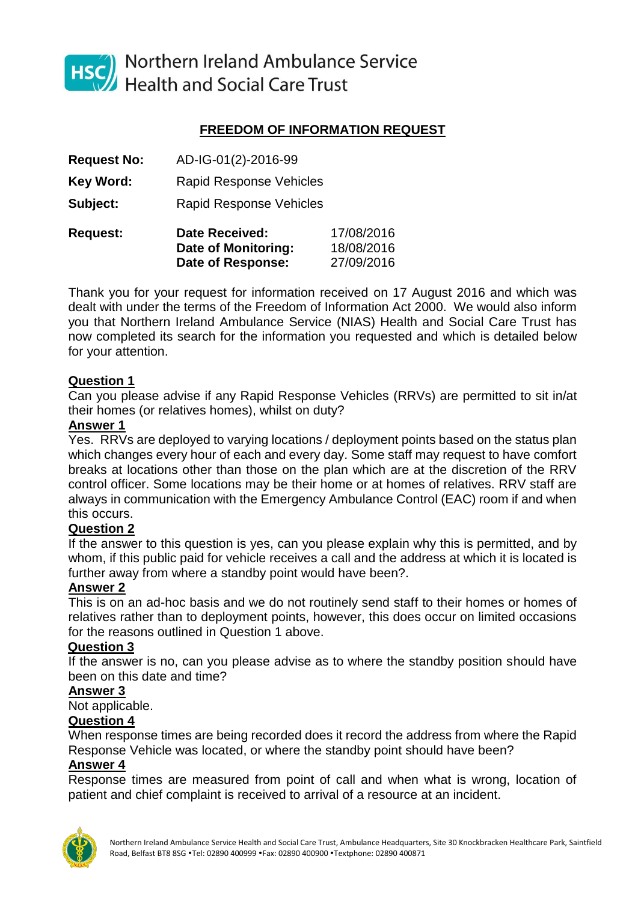

HSC Northern Ireland Ambulance Service<br>Health and Social Care Trust

# **FREEDOM OF INFORMATION REQUEST**

- **Request No:** AD-IG-01(2)-2016-99
- Key Word: Rapid Response Vehicles
- **Subject:** Rapid Response Vehicles

| <b>Request:</b> | <b>Date Received:</b> | 17/08/2016 |
|-----------------|-----------------------|------------|
|                 | Date of Monitoring:   | 18/08/2016 |
|                 | Date of Response:     | 27/09/2016 |

Thank you for your request for information received on 17 August 2016 and which was dealt with under the terms of the Freedom of Information Act 2000. We would also inform you that Northern Ireland Ambulance Service (NIAS) Health and Social Care Trust has now completed its search for the information you requested and which is detailed below for your attention.

## **Question 1**

Can you please advise if any Rapid Response Vehicles (RRVs) are permitted to sit in/at their homes (or relatives homes), whilst on duty?

## **Answer 1**

Yes. RRVs are deployed to varying locations / deployment points based on the status plan which changes every hour of each and every day. Some staff may request to have comfort breaks at locations other than those on the plan which are at the discretion of the RRV control officer. Some locations may be their home or at homes of relatives. RRV staff are always in communication with the Emergency Ambulance Control (EAC) room if and when this occurs.

# **Question 2**

If the answer to this question is yes, can you please explain why this is permitted, and by whom, if this public paid for vehicle receives a call and the address at which it is located is further away from where a standby point would have been?.

# **Answer 2**

This is on an ad-hoc basis and we do not routinely send staff to their homes or homes of relatives rather than to deployment points, however, this does occur on limited occasions for the reasons outlined in Question 1 above.

## **Question 3**

If the answer is no, can you please advise as to where the standby position should have been on this date and time?

## **Answer 3**

Not applicable.

## **Question 4**

When response times are being recorded does it record the address from where the Rapid Response Vehicle was located, or where the standby point should have been?

# **Answer 4**

Response times are measured from point of call and when what is wrong, location of patient and chief complaint is received to arrival of a resource at an incident.

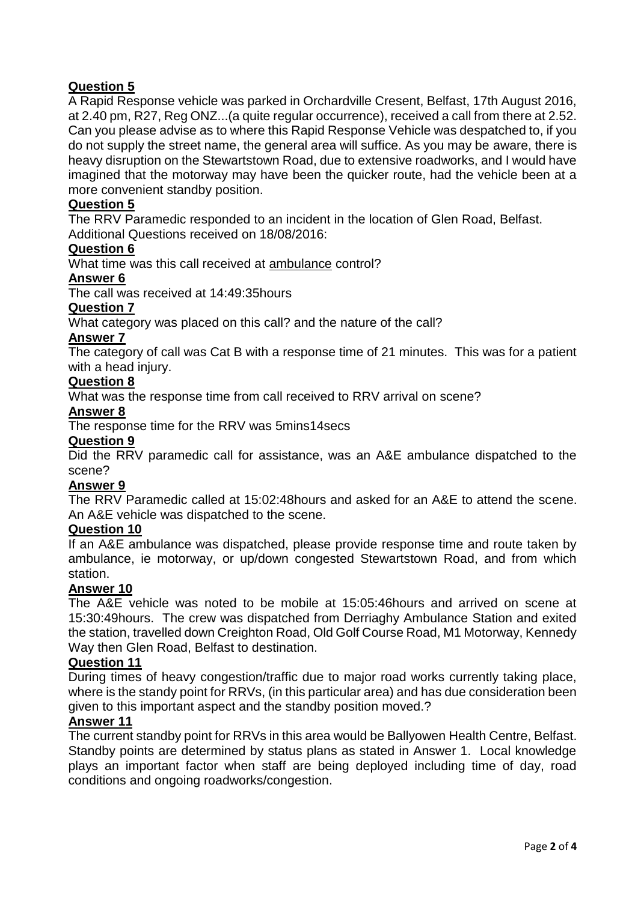# **Question 5**

A Rapid Response vehicle was parked in Orchardville Cresent, Belfast, 17th August 2016, at 2.40 pm, R27, Reg ONZ...(a quite regular occurrence), received a call from there at 2.52. Can you please advise as to where this Rapid Response Vehicle was despatched to, if you do not supply the street name, the general area will suffice. As you may be aware, there is heavy disruption on the Stewartstown Road, due to extensive roadworks, and I would have imagined that the motorway may have been the quicker route, had the vehicle been at a more convenient standby position.

## **Question 5**

The RRV Paramedic responded to an incident in the location of Glen Road, Belfast. Additional Questions received on 18/08/2016:

## **Question 6**

What time was this call received at ambulance control?

#### **Answer 6**

The call was received at 14:49:35hours

## **Question 7**

What category was placed on this call? and the nature of the call?

#### **Answer 7**

The category of call was Cat B with a response time of 21 minutes. This was for a patient with a head injury.

#### **Question 8**

What was the response time from call received to RRV arrival on scene?

## **Answer 8**

The response time for the RRV was 5mins14secs

#### **Question 9**

Did the RRV paramedic call for assistance, was an A&E ambulance dispatched to the scene?

#### **Answer 9**

The RRV Paramedic called at 15:02:48hours and asked for an A&E to attend the scene. An A&E vehicle was dispatched to the scene.

#### **Question 10**

If an A&E ambulance was dispatched, please provide response time and route taken by ambulance, ie motorway, or up/down congested Stewartstown Road, and from which station.

#### **Answer 10**

The A&E vehicle was noted to be mobile at 15:05:46hours and arrived on scene at 15:30:49hours. The crew was dispatched from Derriaghy Ambulance Station and exited the station, travelled down Creighton Road, Old Golf Course Road, M1 Motorway, Kennedy Way then Glen Road, Belfast to destination.

#### **Question 11**

During times of heavy congestion/traffic due to major road works currently taking place, where is the standy point for RRVs, (in this particular area) and has due consideration been given to this important aspect and the standby position moved.?

## **Answer 11**

The current standby point for RRVs in this area would be Ballyowen Health Centre, Belfast. Standby points are determined by status plans as stated in Answer 1. Local knowledge plays an important factor when staff are being deployed including time of day, road conditions and ongoing roadworks/congestion.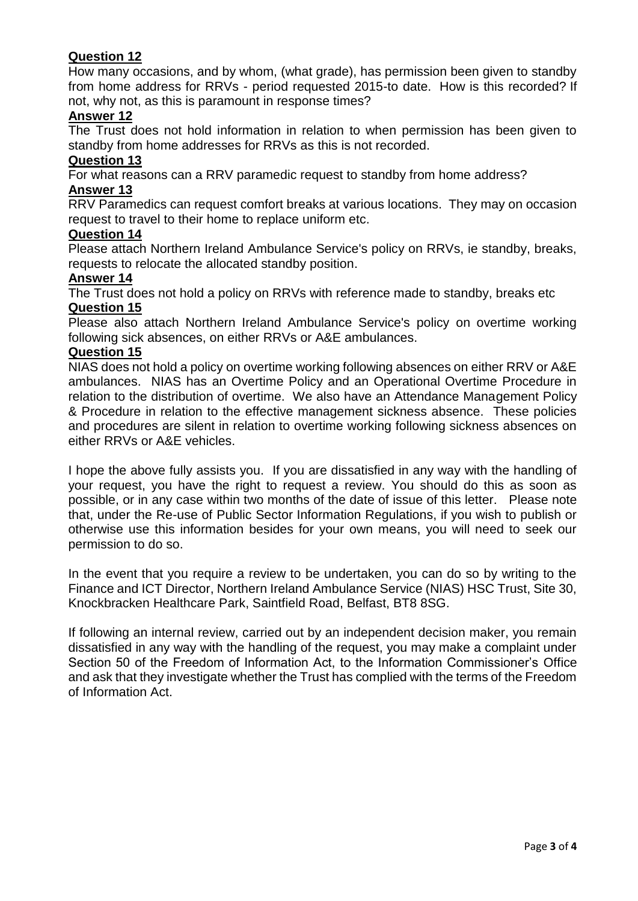# **Question 12**

How many occasions, and by whom, (what grade), has permission been given to standby from home address for RRVs - period requested 2015-to date. How is this recorded? If not, why not, as this is paramount in response times?

## **Answer 12**

The Trust does not hold information in relation to when permission has been given to standby from home addresses for RRVs as this is not recorded.

## **Question 13**

For what reasons can a RRV paramedic request to standby from home address?

#### **Answer 13**

RRV Paramedics can request comfort breaks at various locations. They may on occasion request to travel to their home to replace uniform etc.

#### **Question 14**

Please attach Northern Ireland Ambulance Service's policy on RRVs, ie standby, breaks, requests to relocate the allocated standby position.

## **Answer 14**

The Trust does not hold a policy on RRVs with reference made to standby, breaks etc **Question 15**

Please also attach Northern Ireland Ambulance Service's policy on overtime working following sick absences, on either RRVs or A&E ambulances.

#### **Question 15**

NIAS does not hold a policy on overtime working following absences on either RRV or A&E ambulances. NIAS has an Overtime Policy and an Operational Overtime Procedure in relation to the distribution of overtime. We also have an Attendance Management Policy & Procedure in relation to the effective management sickness absence. These policies and procedures are silent in relation to overtime working following sickness absences on either RRVs or A&E vehicles.

I hope the above fully assists you. If you are dissatisfied in any way with the handling of your request, you have the right to request a review. You should do this as soon as possible, or in any case within two months of the date of issue of this letter. Please note that, under the Re-use of Public Sector Information Regulations, if you wish to publish or otherwise use this information besides for your own means, you will need to seek our permission to do so.

In the event that you require a review to be undertaken, you can do so by writing to the Finance and ICT Director, Northern Ireland Ambulance Service (NIAS) HSC Trust, Site 30, Knockbracken Healthcare Park, Saintfield Road, Belfast, BT8 8SG.

If following an internal review, carried out by an independent decision maker, you remain dissatisfied in any way with the handling of the request, you may make a complaint under Section 50 of the Freedom of Information Act, to the Information Commissioner's Office and ask that they investigate whether the Trust has complied with the terms of the Freedom of Information Act.